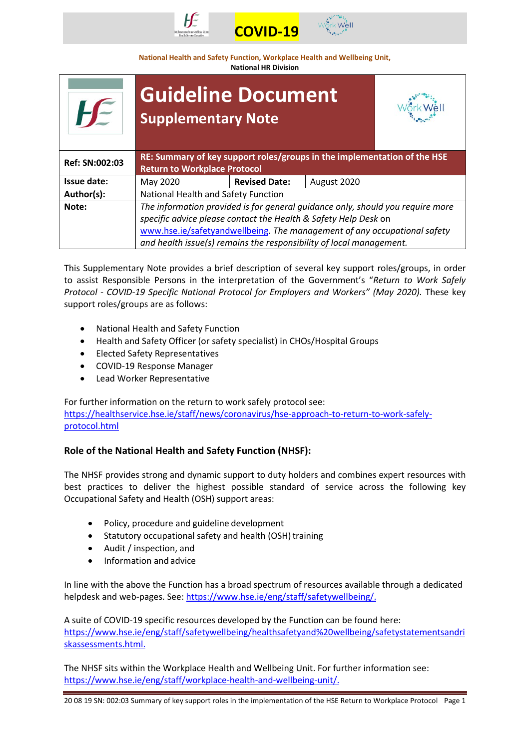



**National Health and Safety Function, Workplace Health and Wellbeing Unit,**

**National HR Division**

|                | <b>Guideline Document</b><br><b>Supplementary Note</b>                                                                                                                                                                                                                                               |                      |             |  |
|----------------|------------------------------------------------------------------------------------------------------------------------------------------------------------------------------------------------------------------------------------------------------------------------------------------------------|----------------------|-------------|--|
| Ref: SN:002:03 | RE: Summary of key support roles/groups in the implementation of the HSE<br><b>Return to Workplace Protocol</b>                                                                                                                                                                                      |                      |             |  |
| Issue date:    | May 2020                                                                                                                                                                                                                                                                                             | <b>Revised Date:</b> | August 2020 |  |
| Author(s):     | National Health and Safety Function                                                                                                                                                                                                                                                                  |                      |             |  |
| Note:          | The information provided is for general quidance only, should you require more<br>specific advice please contact the Health & Safety Help Desk on<br>www.hse.ie/safetyandwellbeing. The management of any occupational safety<br>and health issue(s) remains the responsibility of local management. |                      |             |  |

This Supplementary Note provides a brief description of several key support roles/groups, in order to assist Responsible Persons in the interpretation of the Government's "*Return to Work Safely Protocol - COVID-19 Specific National Protocol for Employers and Workers" (May 2020).* These key support roles/groups are as follows:

- National Health and Safety Function
- Health and Safety Officer (or safety specialist) in CHOs/Hospital Groups
- Elected Safety Representatives
- COVID-19 Response Manager
- Lead Worker Representative

For further information on the return to work safely protocol see: [https://healthservice.hse.ie/staff/news/coronavirus/hse-approach-to-return-to-work-safely](https://healthservice.hse.ie/staff/news/coronavirus/hse-approach-to-return-to-work-safely-protocol.html)[protocol.html](https://healthservice.hse.ie/staff/news/coronavirus/hse-approach-to-return-to-work-safely-protocol.html)

# **Role of the National Health and Safety Function (NHSF):**

The NHSF provides strong and dynamic support to duty holders and combines expert resources with best practices to deliver the highest possible standard of service across the following key Occupational Safety and Health (OSH) support areas:

- Policy, procedure and guideline development
- Statutory occupational safety and health (OSH) training
- Audit / inspection, and
- Information and advice

In line with the above the Function has a broad spectrum of resources available through a dedicated helpdesk and web-pages. See: [https://www.hse.ie/eng/staff/safetywellbeing/.](https://www.hse.ie/eng/staff/safetywellbeing/)

A suite of COVID-19 specific resources developed by the Function can be found here: [https://www.hse.ie/eng/staff/safetywellbeing/healthsafetyand%20wellbeing/safetystatementsandri](https://www.hse.ie/eng/staff/safetywellbeing/healthsafetyand%20wellbeing/safetystatementsandriskassessments.html) [skassessments.html.](https://www.hse.ie/eng/staff/safetywellbeing/healthsafetyand%20wellbeing/safetystatementsandriskassessments.html)

The NHSF sits within the Workplace Health and Wellbeing Unit. For further information see: [https://www.hse.ie/eng/staff/workplace-health-and-wellbeing-unit/.](https://www.hse.ie/eng/staff/workplace-health-and-wellbeing-unit/)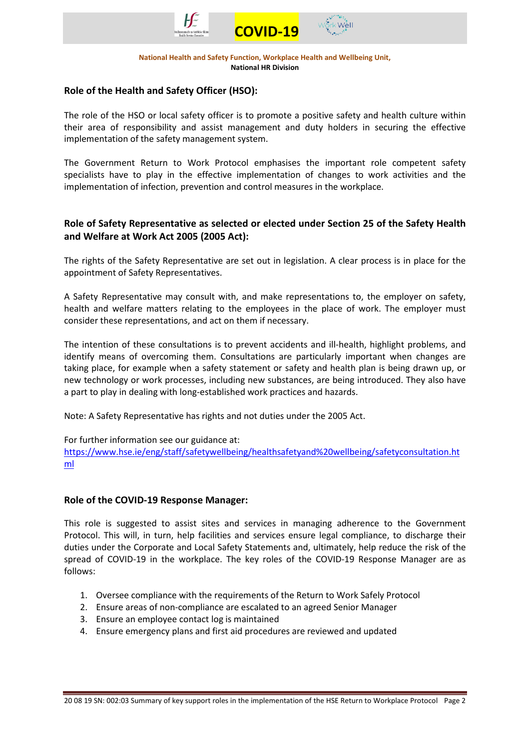



## **Role of the Health and Safety Officer (HSO):**

The role of the HSO or local safety officer is to promote a positive safety and health culture within their area of responsibility and assist management and duty holders in securing the effective implementation of the safety management system.

The Government Return to Work Protocol emphasises the important role competent safety specialists have to play in the effective implementation of changes to work activities and the implementation of infection, prevention and control measures in the workplace.

## **Role of Safety Representative as selected or elected under Section 25 of the Safety Health and Welfare at Work Act 2005 (2005 Act):**

The rights of the Safety Representative are set out in legislation. A clear process is in place for the appointment of Safety Representatives.

A Safety Representative may consult with, and make representations to, the employer on safety, health and welfare matters relating to the employees in the place of work. The employer must consider these representations, and act on them if necessary.

The intention of these consultations is to prevent accidents and ill-health, highlight problems, and identify means of overcoming them. Consultations are particularly important when changes are taking place, for example when a safety statement or safety and health plan is being drawn up, or new technology or work processes, including new substances, are being introduced. They also have a part to play in dealing with long-established work practices and hazards.

Note: A Safety Representative has rights and not duties under the 2005 Act.

For further information see our guidance at:

[https://www.hse.ie/eng/staff/safetywellbeing/healthsafetyand%20wellbeing/safetyconsultation.ht](https://www.hse.ie/eng/staff/safetywellbeing/healthsafetyand%20wellbeing/safetyconsultation.html) [ml](https://www.hse.ie/eng/staff/safetywellbeing/healthsafetyand%20wellbeing/safetyconsultation.html)

### **Role of the COVID-19 Response Manager:**

This role is suggested to assist sites and services in managing adherence to the Government Protocol. This will, in turn, help facilities and services ensure legal compliance, to discharge their duties under the Corporate and Local Safety Statements and, ultimately, help reduce the risk of the spread of COVID-19 in the workplace. The key roles of the COVID-19 Response Manager are as follows:

- 1. Oversee compliance with the requirements of the Return to Work Safely Protocol
- 2. Ensure areas of non-compliance are escalated to an agreed Senior Manager
- 3. Ensure an employee contact log is maintained
- 4. Ensure emergency plans and first aid procedures are reviewed and updated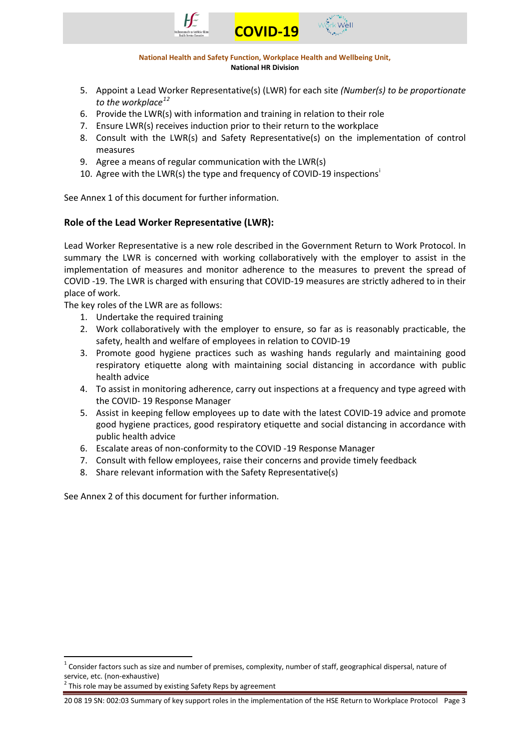



- 5. Appoint a Lead Worker Representative(s) (LWR) for each site *(Number(s) to be proportionate to the workplace[1](#page-2-0)[2](#page-2-1)*
- 6. Provide the LWR(s) with information and training in relation to their role
- 7. Ensure LWR(s) receives induction prior to their return to the workplace
- 8. Consult with the LWR(s) and Safety Representative(s) on the implementation of control measures
- 9. Agree a means of regular communication with the LWR(s)
- 10. Agree w[i](#page-4-0)th the LWR(s) the type and frequency of COVID-19 inspections<sup>1</sup>

See Annex 1 of this document for further information.

# **Role of the Lead Worker Representative (LWR):**

Lead Worker Representative is a new role described in the Government Return to Work Protocol. In summary the LWR is concerned with working collaboratively with the employer to assist in the implementation of measures and monitor adherence to the measures to prevent the spread of COVID -19. The LWR is charged with ensuring that COVID-19 measures are strictly adhered to in their place of work.

The key roles of the LWR are as follows:

- 1. Undertake the required training
- 2. Work collaboratively with the employer to ensure, so far as is reasonably practicable, the safety, health and welfare of employees in relation to COVID-19
- 3. Promote good hygiene practices such as washing hands regularly and maintaining good respiratory etiquette along with maintaining social distancing in accordance with public health advice
- 4. To assist in monitoring adherence, carry out inspections at a frequency and type agreed with the COVID- 19 Response Manager
- 5. Assist in keeping fellow employees up to date with the latest COVID-19 advice and promote good hygiene practices, good respiratory etiquette and social distancing in accordance with public health advice
- 6. Escalate areas of non-conformity to the COVID -19 Response Manager
- 7. Consult with fellow employees, raise their concerns and provide timely feedback
- 8. Share relevant information with the Safety Representative(s)

See Annex 2 of this document for further information.

<span id="page-2-1"></span>

<span id="page-2-0"></span> $1$  Consider factors such as size and number of premises, complexity, number of staff, geographical dispersal, nature of service, etc. (non-exhaustive)<br> $2^2$  This role may be assumed by existing Safety Reps by agreement

<sup>20 08 19</sup> SN: 002:03 Summary of key support roles in the implementation of the HSE Return to Workplace Protocol Page 3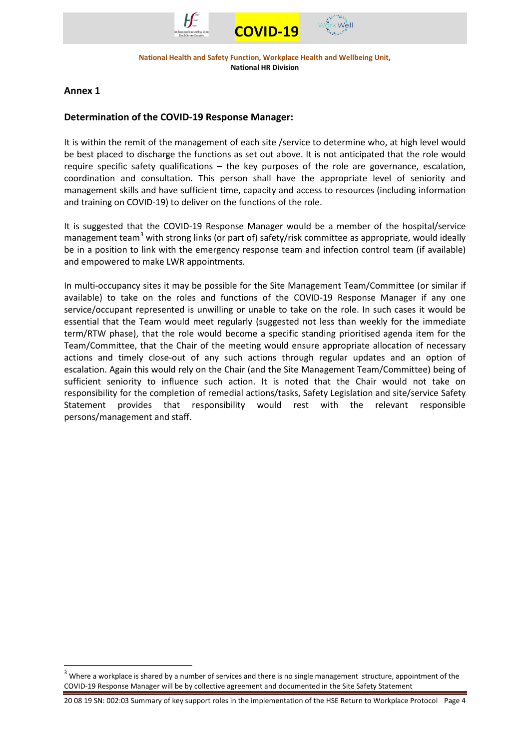



### **Annex 1**

### **Determination of the COVID-19 Response Manager:**

It is within the remit of the management of each site /service to determine who, at high level would be best placed to discharge the functions as set out above. It is not anticipated that the role would require specific safety qualifications – the key purposes of the role are governance, escalation, coordination and consultation. This person shall have the appropriate level of seniority and management skills and have sufficient time, capacity and access to resources (including information and training on COVID-19) to deliver on the functions of the role.

It is suggested that the COVID-19 Response Manager would be a member of the hospital/service management team<sup>[3](#page-3-0)</sup> with strong links (or part of) safety/risk committee as appropriate, would ideally be in a position to link with the emergency response team and infection control team (if available) and empowered to make LWR appointments.

In multi-occupancy sites it may be possible for the Site Management Team/Committee (or similar if available) to take on the roles and functions of the COVID-19 Response Manager if any one service/occupant represented is unwilling or unable to take on the role. In such cases it would be essential that the Team would meet regularly (suggested not less than weekly for the immediate term/RTW phase), that the role would become a specific standing prioritised agenda item for the Team/Committee, that the Chair of the meeting would ensure appropriate allocation of necessary actions and timely close-out of any such actions through regular updates and an option of escalation. Again this would rely on the Chair (and the Site Management Team/Committee) being of sufficient seniority to influence such action. It is noted that the Chair would not take on responsibility for the completion of remedial actions/tasks, Safety Legislation and site/service Safety Statement provides that responsibility would rest with the relevant responsible persons/management and staff.

<span id="page-3-0"></span>Where a workplace is shared by a number of services and there is no single management structure, appointment of the COVID-19 Response Manager will be by collective agreement and documented in the Site Safety Statement

<sup>20 08 19</sup> SN: 002:03 Summary of key support roles in the implementation of the HSE Return to Workplace Protocol Page 4